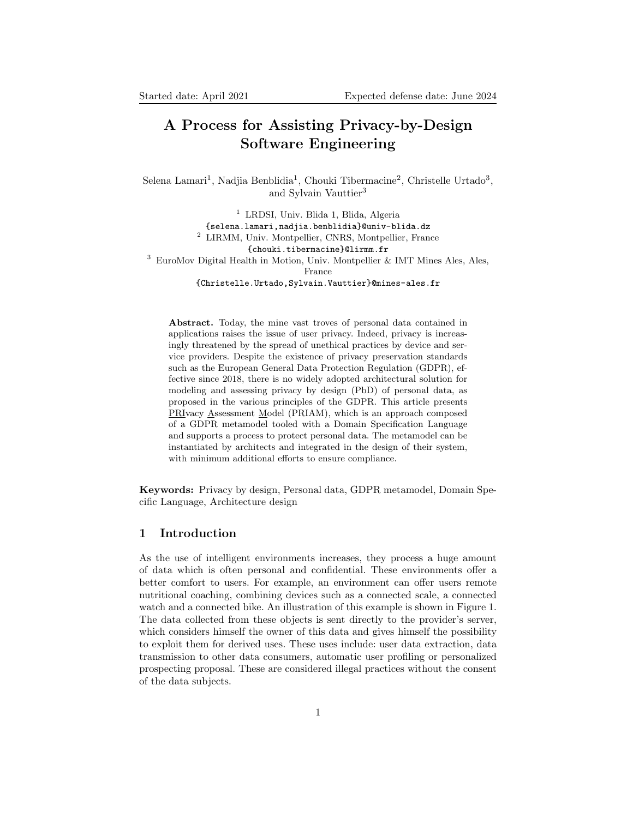# A Process for Assisting Privacy-by-Design Software Engineering

Selena Lamari<sup>1</sup>, Nadjia Benblidia<sup>1</sup>, Chouki Tibermacine<sup>2</sup>, Christelle Urtado<sup>3</sup>, and Sylvain Vauttier<sup>3</sup>

<sup>1</sup> LRDSI, Univ. Blida 1, Blida, Algeria {selena.lamari,nadjia.benblidia}@univ-blida.dz <sup>2</sup> LIRMM, Univ. Montpellier, CNRS, Montpellier, France {chouki.tibermacine}@lirmm.fr <sup>3</sup> EuroMov Digital Health in Motion, Univ. Montpellier & IMT Mines Ales, Ales, France {Christelle.Urtado,Sylvain.Vauttier}@mines-ales.fr

Abstract. Today, the mine vast troves of personal data contained in applications raises the issue of user privacy. Indeed, privacy is increasingly threatened by the spread of unethical practices by device and service providers. Despite the existence of privacy preservation standards such as the European General Data Protection Regulation (GDPR), effective since 2018, there is no widely adopted architectural solution for modeling and assessing privacy by design (PbD) of personal data, as proposed in the various principles of the GDPR. This article presents PRIvacy Assessment Model (PRIAM), which is an approach composed of a GDPR metamodel tooled with a Domain Specification Language and supports a process to protect personal data. The metamodel can be instantiated by architects and integrated in the design of their system, with minimum additional efforts to ensure compliance.

Keywords: Privacy by design, Personal data, GDPR metamodel, Domain Specific Language, Architecture design

# 1 Introduction

As the use of intelligent environments increases, they process a huge amount of data which is often personal and confidential. These environments offer a better comfort to users. For example, an environment can offer users remote nutritional coaching, combining devices such as a connected scale, a connected watch and a connected bike. An illustration of this example is shown in Figure 1. The data collected from these objects is sent directly to the provider's server, which considers himself the owner of this data and gives himself the possibility to exploit them for derived uses. These uses include: user data extraction, data transmission to other data consumers, automatic user profiling or personalized prospecting proposal. These are considered illegal practices without the consent of the data subjects.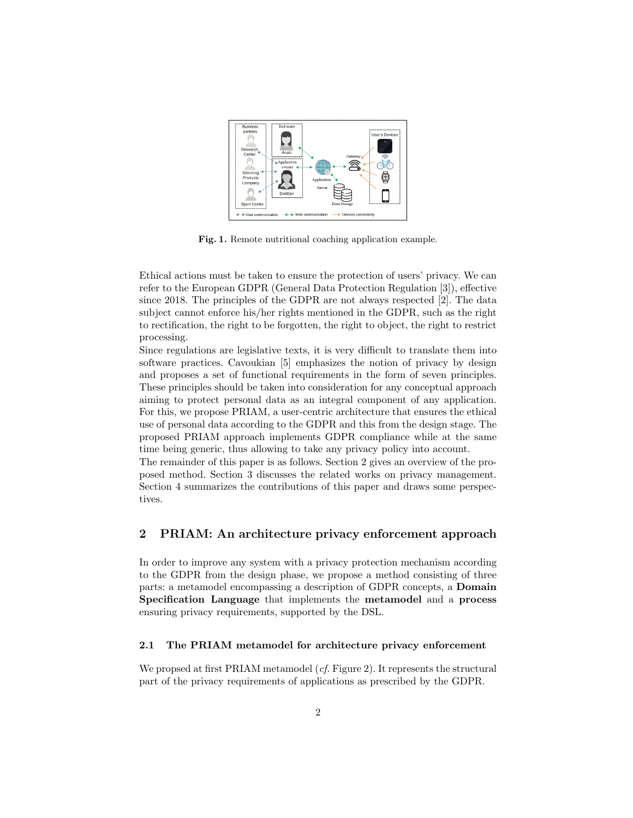

Fig. 1. Remote nutritional coaching application example.

Ethical actions must be taken to ensure the protection of users' privacy. We can refer to the European GDPR (General Data Protection Regulation [3]), effective since 2018. The principles of the GDPR are not always respected [2]. The data subject cannot enforce his/her rights mentioned in the GDPR, such as the right to rectification, the right to be forgotten, the right to object, the right to restrict processing.

Since regulations are legislative texts, it is very difficult to translate them into software practices. Cavoukian [5] emphasizes the notion of privacy by design and proposes a set of functional requirements in the form of seven principles. These principles should be taken into consideration for any conceptual approach aiming to protect personal data as an integral component of any application. For this, we propose PRIAM, a user-centric architecture that ensures the ethical use of personal data according to the GDPR and this from the design stage. The proposed PRIAM approach implements GDPR compliance while at the same time being generic, thus allowing to take any privacy policy into account.

The remainder of this paper is as follows. Section 2 gives an overview of the proposed method. Section 3 discusses the related works on privacy management. Section 4 summarizes the contributions of this paper and draws some perspectives.

# 2 PRIAM: An architecture privacy enforcement approach

In order to improve any system with a privacy protection mechanism according to the GDPR from the design phase, we propose a method consisting of three parts: a metamodel encompassing a description of GDPR concepts, a Domain Specification Language that implements the metamodel and a process ensuring privacy requirements, supported by the DSL.

## 2.1 The PRIAM metamodel for architecture privacy enforcement

We propsed at first PRIAM metamodel (*cf.* Figure 2). It represents the structural part of the privacy requirements of applications as prescribed by the GDPR.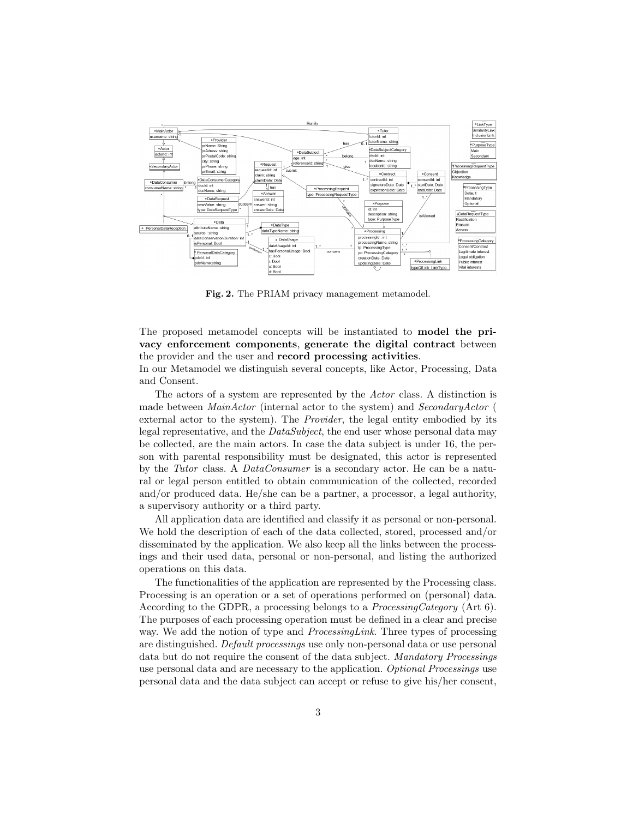

Fig. 2. The PRIAM privacy management metamodel.

The proposed metamodel concepts will be instantiated to model the privacy enforcement components, generate the digital contract between the provider and the user and record processing activities.

In our Metamodel we distinguish several concepts, like Actor, Processing, Data and Consent.

The actors of a system are represented by the Actor class. A distinction is made between MainActor (internal actor to the system) and SecondaryActor ( external actor to the system). The Provider, the legal entity embodied by its legal representative, and the DataSubject, the end user whose personal data may be collected, are the main actors. In case the data subject is under 16, the person with parental responsibility must be designated, this actor is represented by the Tutor class. A DataConsumer is a secondary actor. He can be a natural or legal person entitled to obtain communication of the collected, recorded and/or produced data. He/she can be a partner, a processor, a legal authority, a supervisory authority or a third party.

All application data are identified and classify it as personal or non-personal. We hold the description of each of the data collected, stored, processed and/or disseminated by the application. We also keep all the links between the processings and their used data, personal or non-personal, and listing the authorized operations on this data.

The functionalities of the application are represented by the Processing class. Processing is an operation or a set of operations performed on (personal) data. According to the GDPR, a processing belongs to a ProcessingCategory (Art 6). The purposes of each processing operation must be defined in a clear and precise way. We add the notion of type and *ProcessingLink*. Three types of processing are distinguished. Default processings use only non-personal data or use personal data but do not require the consent of the data subject. Mandatory Processings use personal data and are necessary to the application. Optional Processings use personal data and the data subject can accept or refuse to give his/her consent,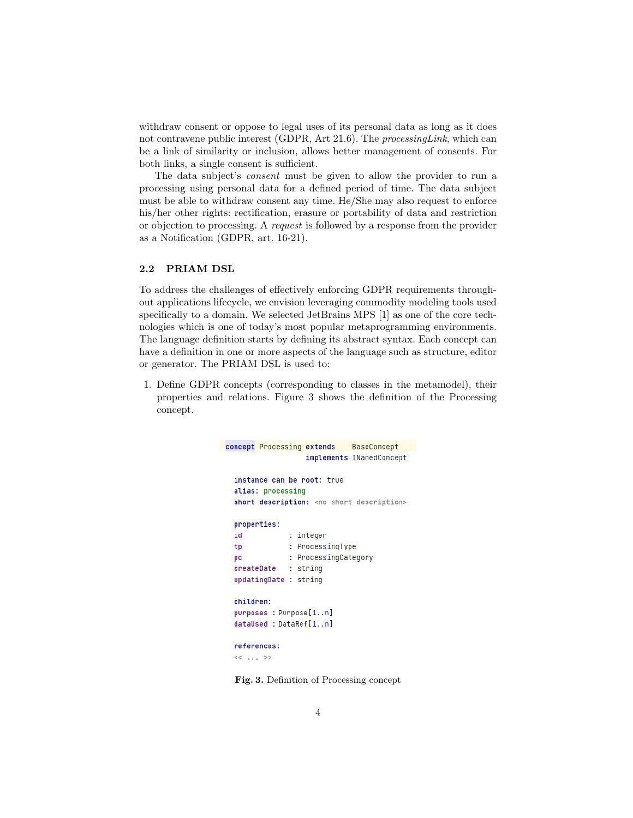withdraw consent or oppose to legal uses of its personal data as long as it does not contravene public interest (GDPR, Art 21.6). The *processingLink*, which can be a link of similarity or inclusion, allows better management of consents. For both links, a single consent is sufficient.

The data subject's consent must be given to allow the provider to run a processing using personal data for a defined period of time. The data subject must be able to withdraw consent any time. He/She may also request to enforce his/her other rights: rectification, erasure or portability of data and restriction or objection to processing. A request is followed by a response from the provider as a Notification (GDPR, art. 16-21).

#### 2.2 PRIAM DSL

To address the challenges of effectively enforcing GDPR requirements throughout applications lifecycle, we envision leveraging commodity modeling tools used specifically to a domain. We selected JetBrains MPS [1] as one of the core technologies which is one of today's most popular metaprogramming environments. The language definition starts by defining its abstract syntax. Each concept can have a definition in one or more aspects of the language such as structure, editor or generator. The PRIAM DSL is used to:

1. Define GDPR concepts (corresponding to classes in the metamodel), their properties and relations. Figure 3 shows the definition of the Processing concept.

```
BaseConcept
concept Processing extends
                   implements INamedConcept
  instance can be root: true
  alias: processing
  short description: < no short description>
  properties:
              : integer
  id
              : ProcessingType
  tp
              : ProcessingCategory
  pc
 createDate
              : string
 updatingDate : string
 children:
 purposes : Purpose[1..n]
  dataUsed : DataRef[1..n]
  references:
  << . . . >
```
Fig. 3. Definition of Processing concept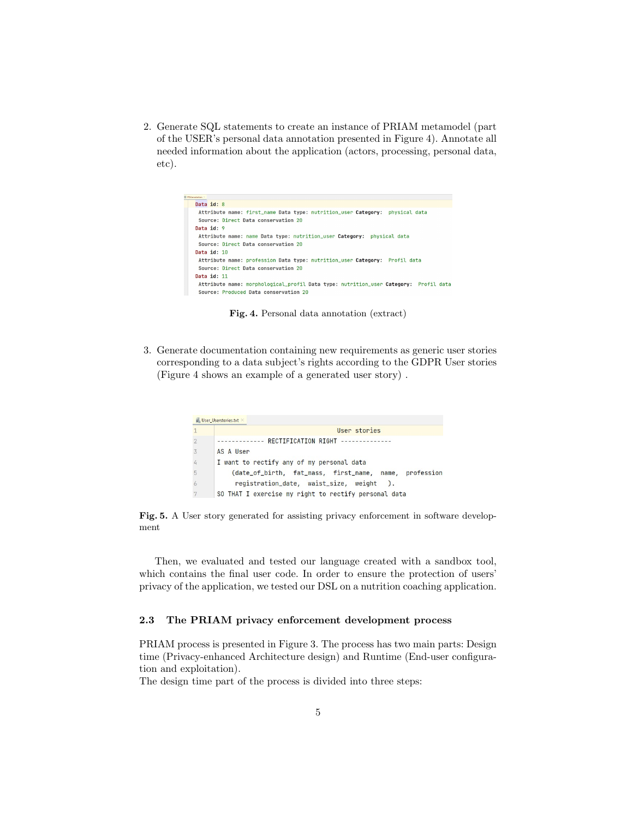2. Generate SQL statements to create an instance of PRIAM metamodel (part of the USER's personal data annotation presented in Figure 4). Annotate all needed information about the application (actors, processing, personal data, etc).

| <b>PRónnotation</b>                                                                  |
|--------------------------------------------------------------------------------------|
| Data id: 8                                                                           |
| Attribute name: first_name Data type: nutrition_user Category: physical data         |
| Source: Direct Data conservation 20                                                  |
| Data id: 9                                                                           |
| Attribute name: name Data type: nutrition_user Category: physical data               |
| Source: Direct Data conservation 20                                                  |
| Data id: 10                                                                          |
| Attribute name: profession Data type: nutrition_user Category: Profil data           |
| Source: Direct Data conservation 20                                                  |
| Data id: 11                                                                          |
| Attribute name: morphological profil Data type: nutrition user Category: Profil data |
| Source: Produced Data conservation 20                                                |
|                                                                                      |

Fig. 4. Personal data annotation (extract)

3. Generate documentation containing new requirements as generic user stories corresponding to a data subject's rights according to the GDPR User stories (Figure 4 shows an example of a generated user story) .

|                | User stories                                           |
|----------------|--------------------------------------------------------|
|                | RECTIFICATION RIGHT --------------                     |
| $\overline{3}$ | AS A User                                              |
|                | I want to rectify any of my personal data              |
| 5              | (date_of_birth, fat_mass, first_name, name, profession |
|                | registration_date, waist_size, weight ).               |
|                | SO THAT I exercise my right to rectify personal data   |

Fig. 5. A User story generated for assisting privacy enforcement in software development

Then, we evaluated and tested our language created with a sandbox tool, which contains the final user code. In order to ensure the protection of users' privacy of the application, we tested our DSL on a nutrition coaching application.

## 2.3 The PRIAM privacy enforcement development process

PRIAM process is presented in Figure 3. The process has two main parts: Design time (Privacy-enhanced Architecture design) and Runtime (End-user configuration and exploitation).

The design time part of the process is divided into three steps: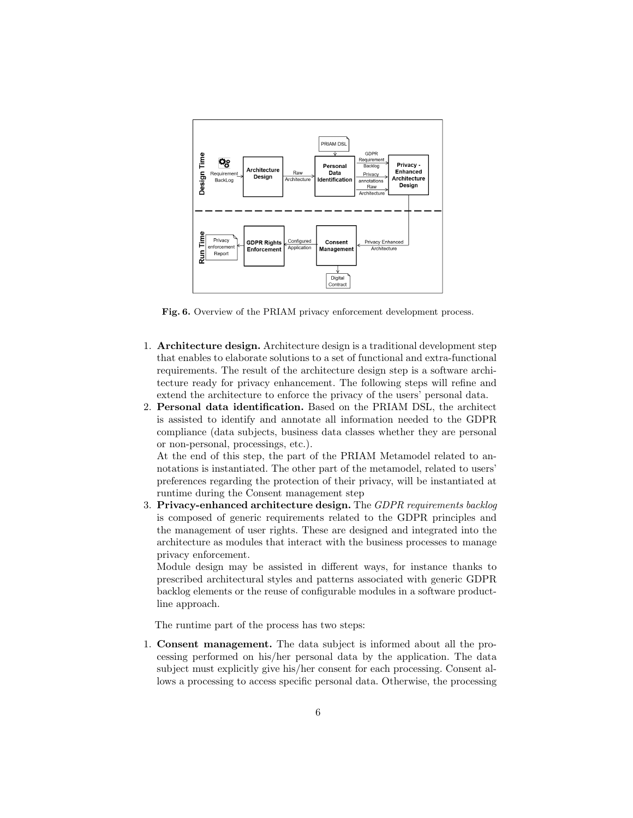

Fig. 6. Overview of the PRIAM privacy enforcement development process.

- 1. Architecture design. Architecture design is a traditional development step that enables to elaborate solutions to a set of functional and extra-functional requirements. The result of the architecture design step is a software architecture ready for privacy enhancement. The following steps will refine and extend the architecture to enforce the privacy of the users' personal data.
- 2. Personal data identification. Based on the PRIAM DSL, the architect is assisted to identify and annotate all information needed to the GDPR compliance (data subjects, business data classes whether they are personal or non-personal, processings, etc.).

At the end of this step, the part of the PRIAM Metamodel related to annotations is instantiated. The other part of the metamodel, related to users' preferences regarding the protection of their privacy, will be instantiated at runtime during the Consent management step

3. Privacy-enhanced architecture design. The GDPR requirements backlog is composed of generic requirements related to the GDPR principles and the management of user rights. These are designed and integrated into the architecture as modules that interact with the business processes to manage privacy enforcement.

Module design may be assisted in different ways, for instance thanks to prescribed architectural styles and patterns associated with generic GDPR backlog elements or the reuse of configurable modules in a software productline approach.

The runtime part of the process has two steps:

1. Consent management. The data subject is informed about all the processing performed on his/her personal data by the application. The data subject must explicitly give his/her consent for each processing. Consent allows a processing to access specific personal data. Otherwise, the processing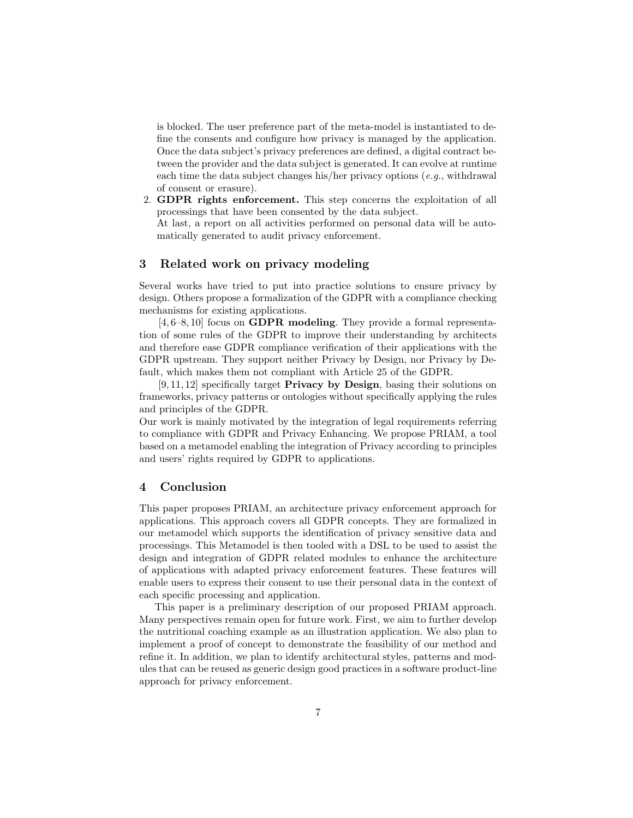is blocked. The user preference part of the meta-model is instantiated to define the consents and configure how privacy is managed by the application. Once the data subject's privacy preferences are defined, a digital contract between the provider and the data subject is generated. It can evolve at runtime each time the data subject changes his/her privacy options  $(e.g.,$  withdrawal of consent or erasure).

2. GDPR rights enforcement. This step concerns the exploitation of all processings that have been consented by the data subject.

At last, a report on all activities performed on personal data will be automatically generated to audit privacy enforcement.

## 3 Related work on privacy modeling

Several works have tried to put into practice solutions to ensure privacy by design. Others propose a formalization of the GDPR with a compliance checking mechanisms for existing applications.

[4, 6–8, 10] focus on GDPR modeling. They provide a formal representation of some rules of the GDPR to improve their understanding by architects and therefore ease GDPR compliance verification of their applications with the GDPR upstream. They support neither Privacy by Design, nor Privacy by Default, which makes them not compliant with Article 25 of the GDPR.

[9, 11, 12] specifically target Privacy by Design, basing their solutions on frameworks, privacy patterns or ontologies without specifically applying the rules and principles of the GDPR.

Our work is mainly motivated by the integration of legal requirements referring to compliance with GDPR and Privacy Enhancing. We propose PRIAM, a tool based on a metamodel enabling the integration of Privacy according to principles and users' rights required by GDPR to applications.

## 4 Conclusion

This paper proposes PRIAM, an architecture privacy enforcement approach for applications. This approach covers all GDPR concepts. They are formalized in our metamodel which supports the identification of privacy sensitive data and processings. This Metamodel is then tooled with a DSL to be used to assist the design and integration of GDPR related modules to enhance the architecture of applications with adapted privacy enforcement features. These features will enable users to express their consent to use their personal data in the context of each specific processing and application.

This paper is a preliminary description of our proposed PRIAM approach. Many perspectives remain open for future work. First, we aim to further develop the nutritional coaching example as an illustration application. We also plan to implement a proof of concept to demonstrate the feasibility of our method and refine it. In addition, we plan to identify architectural styles, patterns and modules that can be reused as generic design good practices in a software product-line approach for privacy enforcement.